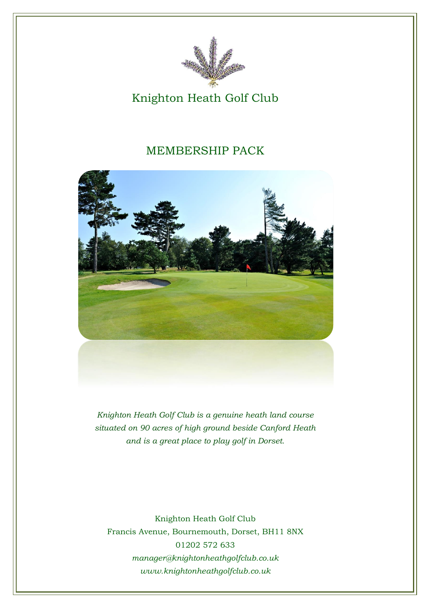

### Knighton Heath Golf Club

### MEMBERSHIP PACK



*Knighton Heath Golf Club is a genuine heath land course situated on 90 acres of high ground beside Canford Heath and is a great place to play golf in Dorset.* 

Knighton Heath Golf Club Francis Avenue, Bournemouth, Dorset, BH11 8NX 01202 572 633 *[manager@knightonheathgolfclub.co.uk](mailto:secretary@bansteaddowns.com) www.knightonheathgolfclub.co.uk*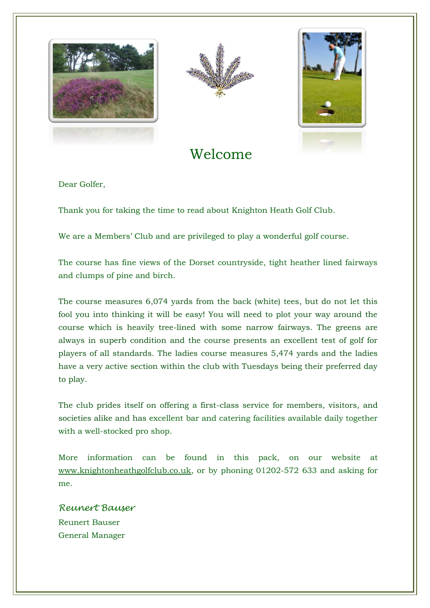





Welcome

Dear Golfer,

Thank you for taking the time to read about Knighton Heath Golf Club.

We are a Members' Club and are privileged to play a wonderful golf course.

The course has fine views of the Dorset countryside, tight heather lined fairways and clumps of pine and birch.

The course measures 6,074 yards from the back (white) tees, but do not let this fool you into thinking it will be easy! You will need to plot your way around the course which is heavily tree-lined with some narrow fairways. The greens are always in superb condition and the course presents an excellent test of golf for players of all standards. The ladies course measures 5,474 yards and the ladies have a very active section within the club with Tuesdays being their preferred day to play.

The club prides itself on offering a first-class service for members, visitors, and societies alike and has excellent bar and catering facilities available daily together with a well-stocked pro shop.

More information can be found in this pack, on our website at [www.knightonheathgolfclub.co.uk,](http://www.bansteaddowns.com/) or by phoning 01202-572 633 and asking for me.

*Reunert Bauser* Reunert Bauser General Manager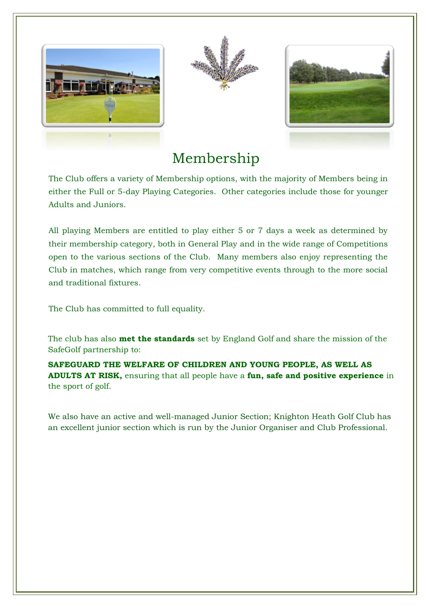





# Membership

The Club offers a variety of Membership options, with the majority of Members being in either the Full or 5-day Playing Categories. Other categories include those for younger Adults and Juniors.

All playing Members are entitled to play either 5 or 7 days a week as determined by their membership category, both in General Play and in the wide range of Competitions open to the various sections of the Club. Many members also enjoy representing the Club in matches, which range from very competitive events through to the more social and traditional fixtures.

The Club has committed to full equality.

The club has also **met the standards** set by England Golf and share the mission of the SafeGolf partnership to:

**SAFEGUARD THE WELFARE OF CHILDREN AND YOUNG PEOPLE, AS WELL AS ADULTS AT RISK,** ensuring that all people have a **fun, safe and positive experience** in the sport of golf.

We also have an active and well-managed Junior Section; Knighton Heath Golf Club has an excellent junior section which is run by the Junior Organiser and Club Professional.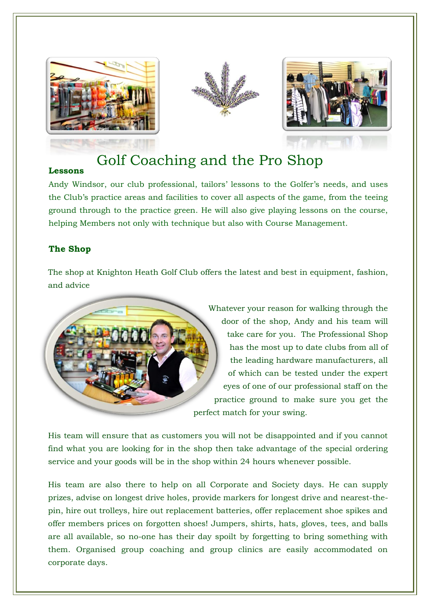





# Golf Coaching and the Pro Shop

#### **Lessons**

Andy Windsor, our club professional, tailors' lessons to the Golfer's needs, and uses the Club's practice areas and facilities to cover all aspects of the game, from the teeing ground through to the practice green. He will also give playing lessons on the course, helping Members not only with technique but also with Course Management.

#### **The Shop**

The shop at Knighton Heath Golf Club offers the latest and best in equipment, fashion, and advice



Whatever your reason for walking through the door of the shop, Andy and his team will take care for you. The Professional Shop has the most up to date clubs from all of the leading hardware manufacturers, all of which can be tested under the expert eyes of one of our professional staff on the practice ground to make sure you get the perfect match for your swing.

His team will ensure that as customers you will not be disappointed and if you cannot find what you are looking for in the shop then take advantage of the special ordering service and your goods will be in the shop within 24 hours whenever possible.

His team are also there to help on all Corporate and Society days. He can supply prizes, advise on longest drive holes, provide markers for longest drive and nearest-thepin, hire out trolleys, hire out replacement batteries, offer replacement shoe spikes and offer members prices on forgotten shoes! Jumpers, shirts, hats, gloves, tees, and balls are all available, so no-one has their day spoilt by forgetting to bring something with them. Organised group coaching and group clinics are easily accommodated on corporate days.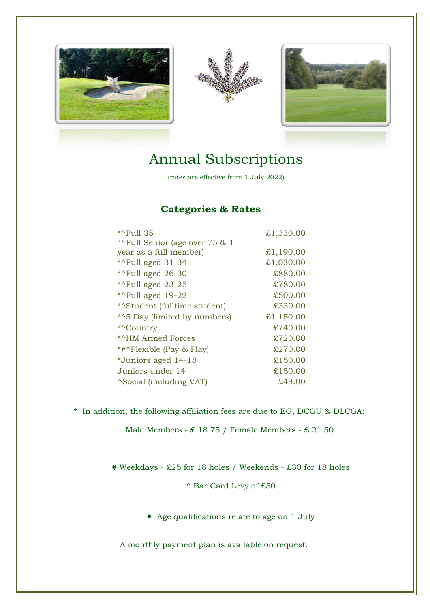





## Annual Subscriptions

(rates are effective from 1 July 2022)

### **Categories & Rates**

| *^Full 35 +                     | £1,330.00 |
|---------------------------------|-----------|
| *^Full Senior (age over 75 & 1  |           |
| year as a full member)          | £1,190.00 |
| * $\lambda$ Full aged 31-34     | £1,030.00 |
| * $\textdegree$ Full aged 26-30 | £880.00   |
| *^Full aged 23-25               | £780.00   |
| *^Full aged 19-22               | £500.00   |
| *^Student (fulltime student)    | £330.00   |
| *^5 Day (limited by numbers)    | £1 150.00 |
| *^Country                       | £740.00   |
| *^HM Armed Forces               | £720.00   |
| *#^Flexible (Pay & Play)        | £270.00   |
| *Juniors aged 14-18             | £150.00   |
| Juniors under 14                | £150.00   |
| <i>N</i> Social (including VAT) | £48.00    |

**\*** In addition, the following affiliation fees are due to EG, DCGU & DLCGA:

Male Members -  $\pounds$  18.75 / Female Members -  $\pounds$  21.50.

**#** Weekdays - £25 for 18 holes / Weekends - £30 for 18 holes

^ Bar Card Levy of £50

• Age qualifications relate to age on 1 July

A monthly payment plan is available on request.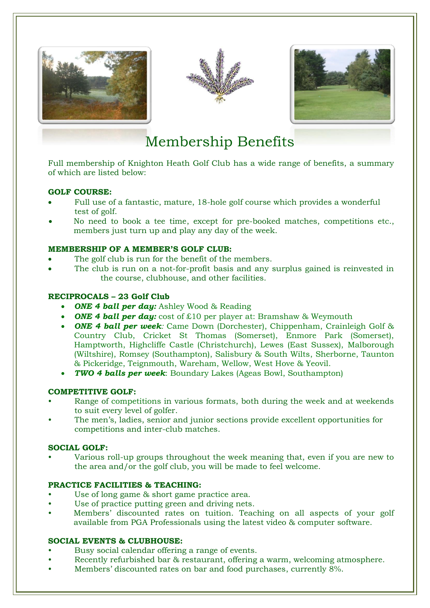





# Membership Benefits

Full membership of Knighton Heath Golf Club has a wide range of benefits, a summary of which are listed below:

#### **GOLF COURSE:**

- Full use of a fantastic, mature, 18-hole golf course which provides a wonderful test of golf.
- No need to book a tee time, except for pre-booked matches, competitions etc., members just turn up and play any day of the week.

#### **MEMBERSHIP OF A MEMBER'S GOLF CLUB:**

- The golf club is run for the benefit of the members.
- The club is run on a not-for-profit basis and any surplus gained is reinvested in the course, clubhouse, and other facilities.

#### **RECIPROCALS – 23 Golf Club**

- **ONE 4 ball per day:** Ashley Wood & Reading
- **ONE 4 ball per day:** cost of £10 per player at: Bramshaw & Weymouth
- *ONE 4 ball per week:* Came Down (Dorchester), Chippenham, Crainleigh Golf & Country Club, Cricket St Thomas (Somerset), Enmore Park (Somerset), Hamptworth, Highcliffe Castle (Christchurch), Lewes (East Sussex), Malborough (Wiltshire), Romsey (Southampton), Salisbury & South Wilts, Sherborne, Taunton & Pickeridge, Teignmouth, Wareham, Wellow, West Hove & Yeovil.
- *TWO 4 balls per week*: Boundary Lakes (Ageas Bowl, Southampton)

#### **COMPETITIVE GOLF:**

- Range of competitions in various formats, both during the week and at weekends to suit every level of golfer.
- The men's, ladies, senior and junior sections provide excellent opportunities for competitions and inter-club matches.

#### **SOCIAL GOLF:**

• Various roll-up groups throughout the week meaning that, even if you are new to the area and/or the golf club, you will be made to feel welcome.

#### **PRACTICE FACILITIES & TEACHING:**

- Use of long game & short game practice area.
- Use of practice putting green and driving nets.
- Members' discounted rates on tuition. Teaching on all aspects of your golf available from PGA Professionals using the latest video & computer software.

#### **SOCIAL EVENTS & CLUBHOUSE:**

- Busy social calendar offering a range of events.
- Recently refurbished bar & restaurant, offering a warm, welcoming atmosphere.
- Members' discounted rates on bar and food purchases, currently 8%.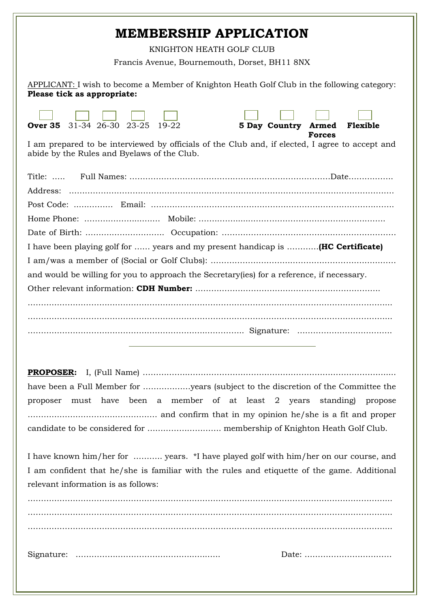### **MEMBERSHIP APPLICATION**

KNIGHTON HEATH GOLF CLUB

Francis Avenue, Bournemouth, Dorset, BH11 8NX

APPLICANT: I wish to become a Member of Knighton Heath Golf Club in the following category: **Please tick as appropriate:**

| 31-34 26-30 23-25<br>19-22<br>5 Day Country Armed<br>Over 35<br>Flexible<br><b>Forces</b>                                                      |  |  |  |  |  |
|------------------------------------------------------------------------------------------------------------------------------------------------|--|--|--|--|--|
| I am prepared to be interviewed by officials of the Club and, if elected, I agree to accept and<br>abide by the Rules and Byelaws of the Club. |  |  |  |  |  |
| Title: $\dots$                                                                                                                                 |  |  |  |  |  |
|                                                                                                                                                |  |  |  |  |  |
|                                                                                                                                                |  |  |  |  |  |
|                                                                                                                                                |  |  |  |  |  |
|                                                                                                                                                |  |  |  |  |  |
| I have been playing golf for  years and my present handicap is  (HC Certificate)                                                               |  |  |  |  |  |
|                                                                                                                                                |  |  |  |  |  |
| and would be willing for you to approach the Secretary (ies) for a reference, if necessary.                                                    |  |  |  |  |  |
|                                                                                                                                                |  |  |  |  |  |
|                                                                                                                                                |  |  |  |  |  |
|                                                                                                                                                |  |  |  |  |  |
|                                                                                                                                                |  |  |  |  |  |

|  |  |  |  |  | have been a Full Member for years (subject to the discretion of the Committee the |  |
|--|--|--|--|--|-----------------------------------------------------------------------------------|--|
|  |  |  |  |  | proposer must have been a member of at least 2 years standing propose             |  |
|  |  |  |  |  |                                                                                   |  |
|  |  |  |  |  |                                                                                   |  |

I have known him/her for ……….. years. \*I have played golf with him/her on our course, and I am confident that he/she is familiar with the rules and etiquette of the game. Additional relevant information is as follows:

………………………………………………………………………………………………………………………... ………………………………………………………………………………………………………………………... ………………………………………………………………………………………………………………………... Signature: …………….………………………..…..….. Date: ……………………………